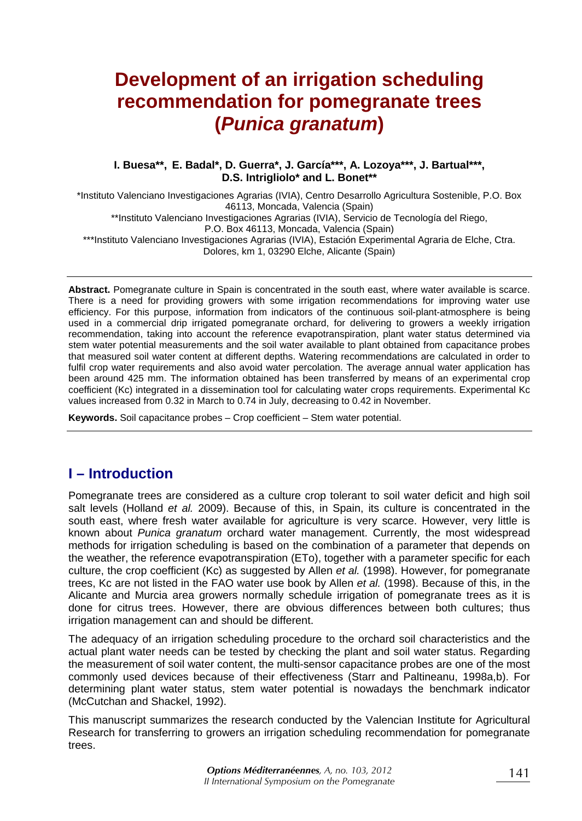# **Development of an irrigation scheduling recommendation for pomegranate trees (***Punica granatum***)**

#### **I. Buesa\*\*, E. Badal\*, D. Guerra\*, J. García\*\*\*, A. Lozoya\*\*\*, J. Bartual\*\*\*, D.S. Intrigliolo\* and L. Bonet\*\***

\*Instituto Valenciano Investigaciones Agrarias (IVIA), Centro Desarrollo Agricultura Sostenible, P.O. Box 46113, Moncada, Valencia (Spain) \*\*Instituto Valenciano Investigaciones Agrarias (IVIA), Servicio de Tecnología del Riego, P.O. Box 46113, Moncada, Valencia (Spain) \*\*\*Instituto Valenciano Investigaciones Agrarias (IVIA), Estación Experimental Agraria de Elche, Ctra. Dolores, km 1, 03290 Elche, Alicante (Spain)

**Abstract.** Pomegranate culture in Spain is concentrated in the south east, where water available is scarce. There is a need for providing growers with some irrigation recommendations for improving water use efficiency. For this purpose, information from indicators of the continuous soil-plant-atmosphere is being used in a commercial drip irrigated pomegranate orchard, for delivering to growers a weekly irrigation recommendation, taking into account the reference evapotranspiration, plant water status determined via stem water potential measurements and the soil water available to plant obtained from capacitance probes that measured soil water content at different depths. Watering recommendations are calculated in order to fulfil crop water requirements and also avoid water percolation. The average annual water application has been around 425 mm. The information obtained has been transferred by means of an experimental crop coefficient (Kc) integrated in a dissemination tool for calculating water crops requirements. Experimental Kc values increased from 0.32 in March to 0.74 in July, decreasing to 0.42 in November.

**Keywords.** Soil capacitance probes – Crop coefficient – Stem water potential.

# **I – Introduction**

Pomegranate trees are considered as a culture crop tolerant to soil water deficit and high soil salt levels (Holland *et al.* 2009). Because of this, in Spain, its culture is concentrated in the south east, where fresh water available for agriculture is very scarce. However, very little is known about *Punica granatum* orchard water management. Currently, the most widespread methods for irrigation scheduling is based on the combination of a parameter that depends on the weather, the reference evapotranspiration (ETo), together with a parameter specific for each culture, the crop coefficient (Kc) as suggested by Allen *et al.* (1998). However, for pomegranate trees, Kc are not listed in the FAO water use book by Allen *et al.* (1998). Because of this, in the Alicante and Murcia area growers normally schedule irrigation of pomegranate trees as it is done for citrus trees. However, there are obvious differences between both cultures; thus irrigation management can and should be different.

The adequacy of an irrigation scheduling procedure to the orchard soil characteristics and the actual plant water needs can be tested by checking the plant and soil water status. Regarding the measurement of soil water content, the multi-sensor capacitance probes are one of the most commonly used devices because of their effectiveness (Starr and Paltineanu, 1998a,b). For determining plant water status, stem water potential is nowadays the benchmark indicator (McCutchan and Shackel, 1992).

This manuscript summarizes the research conducted by the Valencian Institute for Agricultural Research for transferring to growers an irrigation scheduling recommendation for pomegranate trees.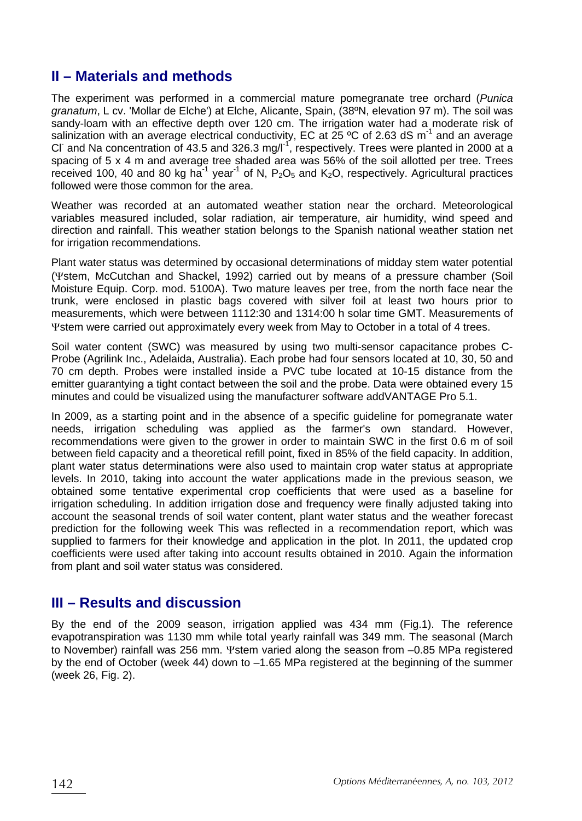# **II – Materials and methods**

The experiment was performed in a commercial mature pomegranate tree orchard (*Punica granatum*, L cv. 'Mollar de Elche') at Elche, Alicante, Spain, (38ºN, elevation 97 m). The soil was sandy-loam with an effective depth over 120 cm. The irrigation water had a moderate risk of salinization with an average electrical conductivity, EC at  $25\degree$ C of 2.63 dS m<sup>-1</sup> and an average CI and Na concentration of 43.5 and 326.3 mg/l<sup>-1</sup>, respectively. Trees were planted in 2000 at a spacing of 5 x 4 m and average tree shaded area was 56% of the soil allotted per tree. Trees received 100, 40 and 80 kg ha<sup>-1</sup> year<sup>-1</sup> of N,  $P_2O_5$  and K<sub>2</sub>O, respectively. Agricultural practices followed were those common for the area.

Weather was recorded at an automated weather station near the orchard. Meteorological variables measured included, solar radiation, air temperature, air humidity, wind speed and direction and rainfall. This weather station belongs to the Spanish national weather station net for irrigation recommendations.

Plant water status was determined by occasional determinations of midday stem water potential (Ψstem, McCutchan and Shackel, 1992) carried out by means of a pressure chamber (Soil Moisture Equip. Corp. mod. 5100A). Two mature leaves per tree, from the north face near the trunk, were enclosed in plastic bags covered with silver foil at least two hours prior to measurements, which were between 1112:30 and 1314:00 h solar time GMT. Measurements of Ψstem were carried out approximately every week from May to October in a total of 4 trees.

Soil water content (SWC) was measured by using two multi-sensor capacitance probes C-Probe (Agrilink Inc., Adelaida, Australia). Each probe had four sensors located at 10, 30, 50 and 70 cm depth. Probes were installed inside a PVC tube located at 10-15 distance from the emitter guarantying a tight contact between the soil and the probe. Data were obtained every 15 minutes and could be visualized using the manufacturer software addVANTAGE Pro 5.1.

In 2009, as a starting point and in the absence of a specific guideline for pomegranate water needs, irrigation scheduling was applied as the farmer's own standard. However, recommendations were given to the grower in order to maintain SWC in the first 0.6 m of soil between field capacity and a theoretical refill point, fixed in 85% of the field capacity. In addition, plant water status determinations were also used to maintain crop water status at appropriate levels. In 2010, taking into account the water applications made in the previous season, we obtained some tentative experimental crop coefficients that were used as a baseline for irrigation scheduling. In addition irrigation dose and frequency were finally adjusted taking into account the seasonal trends of soil water content, plant water status and the weather forecast prediction for the following week This was reflected in a recommendation report, which was supplied to farmers for their knowledge and application in the plot. In 2011, the updated crop coefficients were used after taking into account results obtained in 2010. Again the information from plant and soil water status was considered.

### **III – Results and discussion**

By the end of the 2009 season, irrigation applied was 434 mm (Fig.1). The reference evapotranspiration was 1130 mm while total yearly rainfall was 349 mm. The seasonal (March to November) rainfall was 256 mm. Ψstem varied along the season from –0.85 MPa registered by the end of October (week 44) down to –1.65 MPa registered at the beginning of the summer (week 26, Fig. 2).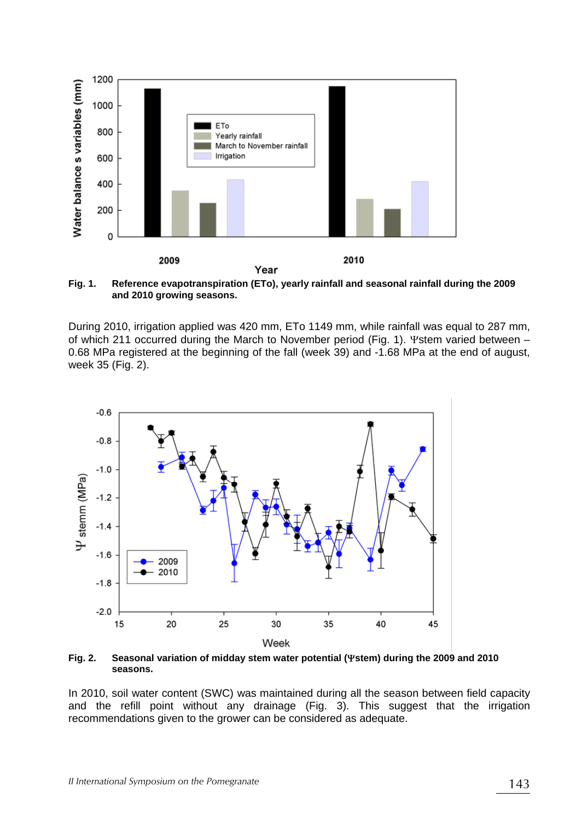

**Fig. 1. Reference evapotranspiration (ETo), yearly rainfall and seasonal rainfall during the 2009 and 2010 growing seasons.** 

During 2010, irrigation applied was 420 mm, ETo 1149 mm, while rainfall was equal to 287 mm, of which 211 occurred during the March to November period (Fig. 1). Ψstem varied between – 0.68 MPa registered at the beginning of the fall (week 39) and -1.68 MPa at the end of august, week 35 (Fig. 2).



**Fig. 2. Seasonal variation of midday stem water potential (**Ψ**stem) during the 2009 and 2010 seasons.** 

In 2010, soil water content (SWC) was maintained during all the season between field capacity and the refill point without any drainage (Fig. 3). This suggest that the irrigation recommendations given to the grower can be considered as adequate.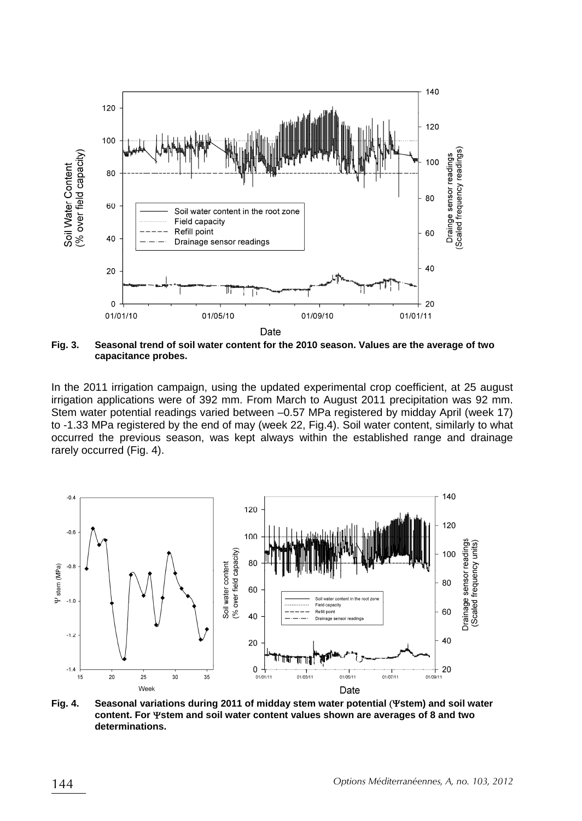

**Fig. 3. Seasonal trend of soil water content for the 2010 season. Values are the average of two capacitance probes.** 

In the 2011 irrigation campaign, using the updated experimental crop coefficient, at 25 august irrigation applications were of 392 mm. From March to August 2011 precipitation was 92 mm. Stem water potential readings varied between –0.57 MPa registered by midday April (week 17) to -1.33 MPa registered by the end of may (week 22, Fig.4). Soil water content, similarly to what occurred the previous season, was kept always within the established range and drainage rarely occurred (Fig. 4).



**Fig. 4. Seasonal variations during 2011 of midday stem water potential** (Ψ**stem) and soil water content. For** Ψ**stem and soil water content values shown are averages of 8 and two determinations.**